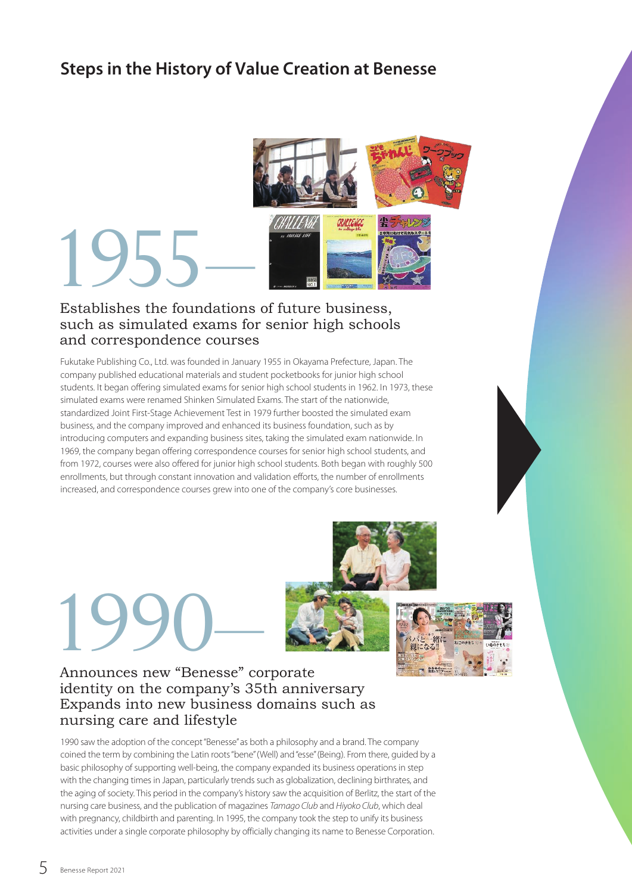### **Steps in the History of Value Creation at Benesse**



# TOMENT WE SEE ALL PROPERTY.

# such as simulated exams for senior high schools and correspondence courses

Fukutake Publishing Co., Ltd. was founded in January 1955 in Okayama Prefecture, Japan. The company published educational materials and student pocketbooks for junior high school students. It began offering simulated exams for senior high school students in 1962. In 1973, these simulated exams were renamed Shinken Simulated Exams. The start of the nationwide, standardized Joint First-Stage Achievement Test in 1979 further boosted the simulated exam business, and the company improved and enhanced its business foundation, such as by introducing computers and expanding business sites, taking the simulated exam nationwide. In 1969, the company began offering correspondence courses for senior high school students, and from 1972, courses were also offered for junior high school students. Both began with roughly 500 enrollments, but through constant innovation and validation efforts, the number of enrollments increased, and correspondence courses grew into one of the company's core businesses.

# 1990– Announces new "Benesse" corporate





## identity on the company's 35th anniversary Expands into new business domains such as nursing care and lifestyle

1990 saw the adoption of the concept "Benesse" as both a philosophy and a brand. The company coined the term by combining the Latin roots "bene" (Well) and "esse" (Being). From there, guided by a basic philosophy of supporting well-being, the company expanded its business operations in step with the changing times in Japan, particularly trends such as globalization, declining birthrates, and the aging of society. This period in the company's history saw the acquisition of Berlitz, the start of the nursing care business, and the publication of magazines *Tamago Club* and *Hiyoko Club*, which deal with pregnancy, childbirth and parenting. In 1995, the company took the step to unify its business activities under a single corporate philosophy by officially changing its name to Benesse Corporation.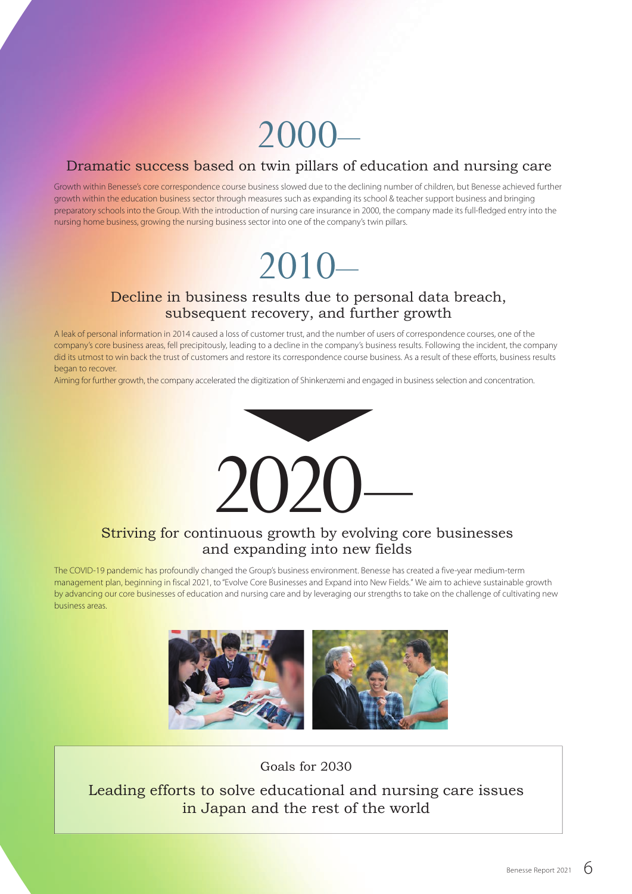# 2000–

#### Dramatic success based on twin pillars of education and nursing care

Growth within Benesse's core correspondence course business slowed due to the declining number of children, but Benesse achieved further growth within the education business sector through measures such as expanding its school & teacher support business and bringing preparatory schools into the Group. With the introduction of nursing care insurance in 2000, the company made its full-fledged entry into the nursing home business, growing the nursing business sector into one of the company's twin pillars.

# 2010–

#### Decline in business results due to personal data breach, subsequent recovery, and further growth

A leak of personal information in 2014 caused a loss of customer trust, and the number of users of correspondence courses, one of the company's core business areas, fell precipitously, leading to a decline in the company's business results. Following the incident, the company did its utmost to win back the trust of customers and restore its correspondence course business. As a result of these efforts, business results began to recover.

Aiming for further growth, the company accelerated the digitization of Shinkenzemi and engaged in business selection and concentration.



#### Striving for continuous growth by evolving core businesses and expanding into new fields

The COVID-19 pandemic has profoundly changed the Group's business environment. Benesse has created a five-year medium-term management plan, beginning in fiscal 2021, to "Evolve Core Businesses and Expand into New Fields." We aim to achieve sustainable growth by advancing our core businesses of education and nursing care and by leveraging our strengths to take on the challenge of cultivating new business areas.



Goals for 2030

Leading efforts to solve educational and nursing care issues in Japan and the rest of the world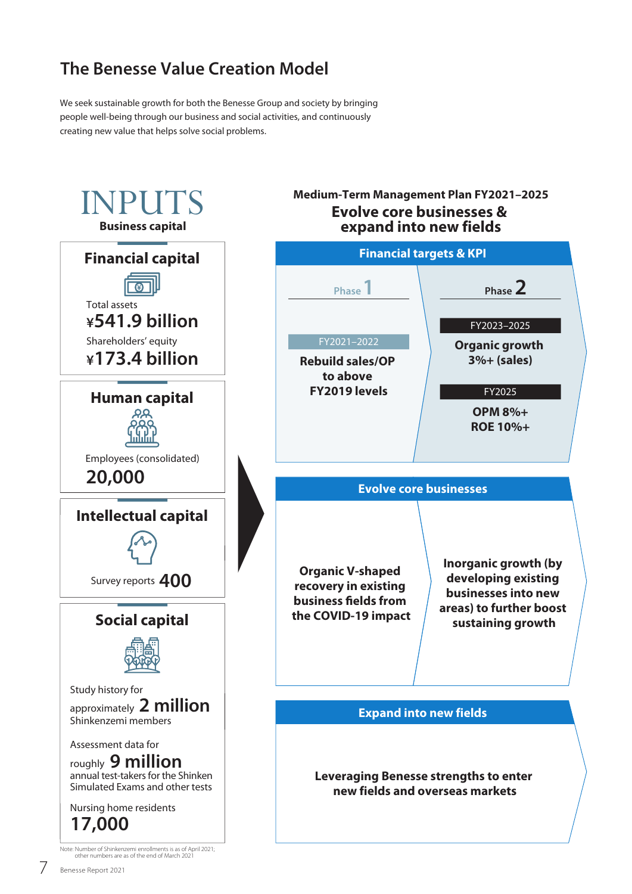## **The Benesse Value Creation Model**

We seek sustainable growth for both the Benesse Group and society by bringing people well-being through our business and social activities, and continuously creating new value that helps solve social problems.

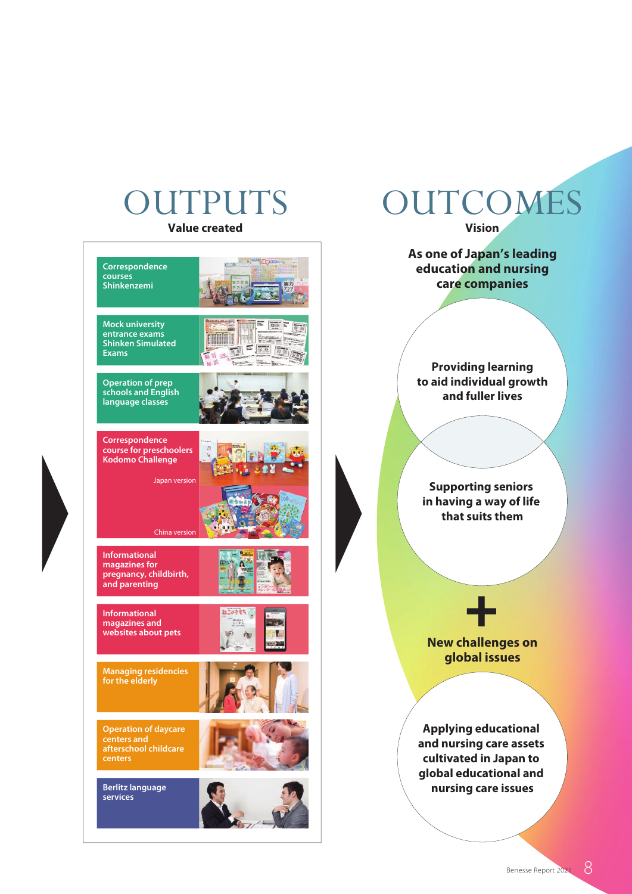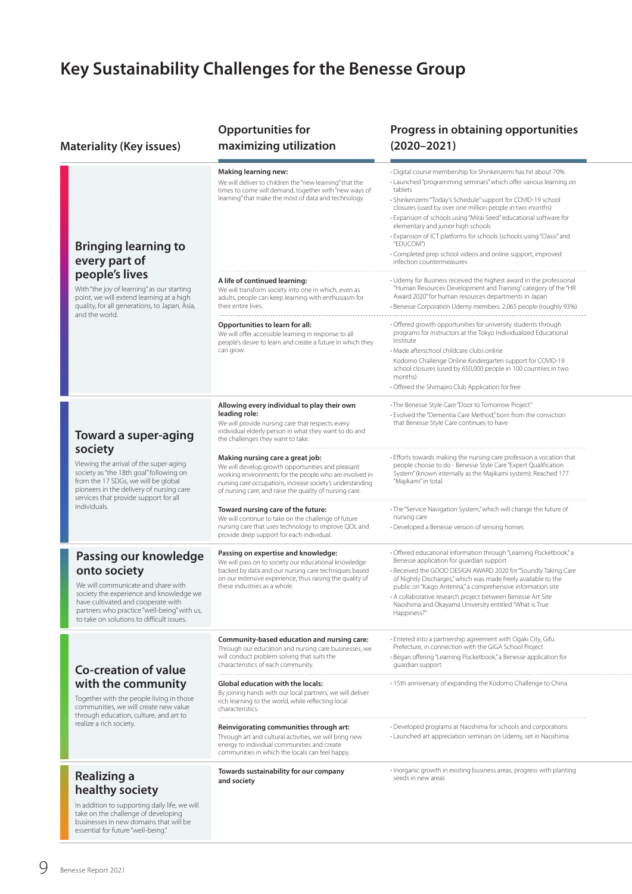# **Key Sustainability Challenges for the Benesse Group**

| <b>Materiality (Key issues)</b> |                                                                                                                                                                                                                                                                  | <b>Opportunities for</b><br>maximizing utilization                                                                                                                                                                                                                        | Progress in obtaining opportunities<br>$(2020 - 2021)$                                                                                                                                                                                                                                                                                                                                                                                                                                                                                                                 |
|---------------------------------|------------------------------------------------------------------------------------------------------------------------------------------------------------------------------------------------------------------------------------------------------------------|---------------------------------------------------------------------------------------------------------------------------------------------------------------------------------------------------------------------------------------------------------------------------|------------------------------------------------------------------------------------------------------------------------------------------------------------------------------------------------------------------------------------------------------------------------------------------------------------------------------------------------------------------------------------------------------------------------------------------------------------------------------------------------------------------------------------------------------------------------|
|                                 | <b>Bringing learning to</b><br>every part of<br>people's lives<br>With "the joy of learning" as our starting<br>point, we will extend learning at a high<br>quality, for all generations, to Japan, Asia,<br>and the world.                                      | <b>Making learning new:</b><br>We will deliver to children the "new learning" that the<br>times to come will demand, together with "new ways of<br>learning" that make the most of data and technology.                                                                   | · Digital course membership for Shinkenzemi has hit about 70%<br>· Launched "programming seminars" which offer various learning on<br>tablets<br>· Shinkenzemi "Today's Schedule" support for COVID-19 school<br>closures (used by over one million people in two months)<br>· Expansion of schools using "Mirai Seed" educational software for<br>elementary and junior high schools<br>• Expansion of ICT platforms for schools (schools using "Classi" and<br>"EDUCOM")<br>• Completed prep school videos and online support, improved<br>infection countermeasures |
|                                 |                                                                                                                                                                                                                                                                  | A life of continued learning:<br>We will transform society into one in which, even as<br>adults, people can keep learning with enthusiasm for<br>their entire lives.                                                                                                      | • Udemy for Business received the highest award in the professional<br>"Human Resources Development and Training" category of the "HR<br>Award 2020" for human resources departments in Japan<br>· Benesse Corporation Udemy members: 2,065 people (roughly 93%)                                                                                                                                                                                                                                                                                                       |
|                                 |                                                                                                                                                                                                                                                                  | Opportunities to learn for all:<br>We will offer accessible learning in response to all<br>people's desire to learn and create a future in which they<br>can grow.                                                                                                        | • Offered growth opportunities for university students through<br>programs for instructors at the Tokyo Individualized Educational<br>Institute<br>· Made afterschool childcare clubs online<br>Kodomo Challenge Online Kindergarten support for COVID-19<br>school closures (used by 650,000 people in 100 countries in two<br>months)<br>• Offered the Shimajiro Club Application for free                                                                                                                                                                           |
|                                 | Toward a super-aging<br>society<br>Viewing the arrival of the super-aging<br>society as "the 18th goal" following on<br>from the 17 SDGs, we will be global<br>pioneers in the delivery of nursing care<br>services that provide support for all<br>individuals. | Allowing every individual to play their own<br>leading role:<br>We will provide nursing care that respects every<br>individual elderly person in what they want to do and<br>the challenges they want to take.                                                            | • The Benesse Style Care "Door to Tomorrow Project"<br>• Evolved the "Dementia Care Method," born from the conviction<br>that Benesse Style Care continues to have                                                                                                                                                                                                                                                                                                                                                                                                     |
|                                 |                                                                                                                                                                                                                                                                  | Making nursing care a great job:<br>We will develop growth opportunities and pleasant<br>working environments for the people who are involved in<br>nursing care occupations, increase society's understanding<br>of nursing care, and raise the quality of nursing care. | . Efforts towards making the nursing care profession a vocation that<br>people choose to do - Benesse Style Care "Expert Qualification<br>System" (known internally as the Majikami system): Reached 177<br>"Majikami" in total                                                                                                                                                                                                                                                                                                                                        |
|                                 |                                                                                                                                                                                                                                                                  | Toward nursing care of the future:<br>We will continue to take on the challenge of future<br>nursing care that uses technology to improve QOL and<br>provide deep support for each individual.                                                                            | · The "Service Navigation System," which will change the future of<br>nursing care<br>• Developed a Benesse version of sensing homes                                                                                                                                                                                                                                                                                                                                                                                                                                   |
|                                 | Passing our knowledge<br>onto society<br>We will communicate and share with<br>society the experience and knowledge we<br>have cultivated and cooperate with<br>partners who practice "well-being" with us,<br>to take on solutions to difficult issues.         | Passing on expertise and knowledge:<br>We will pass on to society our educational knowledge<br>backed by data and our nursing care techniques based<br>on our extensive experience, thus raising the quality of<br>these industries as a whole.                           | · Offered educational information through "Learning Pocketbook," a<br>Benesse application for guardian support<br>- Received the GOOD DESIGN AWARD 2020 for "Soundly Taking Care<br>of Nightly Discharges," which was made freely available to the<br>public on "Kaigo Antenna," a comprehensive information site<br>• A collaborative research project between Benesse Art Site<br>Naoshima and Okayama University entitled "What is True<br>Happiness?"                                                                                                              |
|                                 | <b>Co-creation of value</b><br>with the community<br>Together with the people living in those<br>communities, we will create new value<br>through education, culture, and art to<br>realize a rich society.                                                      | Community-based education and nursing care:<br>Through our education and nursing care businesses, we<br>will conduct problem solving that suits the<br>characteristics of each community.                                                                                 | · Entered into a partnership agreement with Ogaki City, Gifu<br>Prefecture, in connection with the GIGA School Project<br>· Began offering "Learning Pocketbook," a Benesse application for<br>quardian support                                                                                                                                                                                                                                                                                                                                                        |
|                                 |                                                                                                                                                                                                                                                                  | <b>Global education with the locals:</b><br>By joining hands with our local partners, we will deliver<br>rich learning to the world, while reflecting local<br>characteristics.                                                                                           | · 15th anniversary of expanding the Kodomo Challenge to China                                                                                                                                                                                                                                                                                                                                                                                                                                                                                                          |
|                                 |                                                                                                                                                                                                                                                                  | Reinvigorating communities through art:<br>Through art and cultural activities, we will bring new<br>energy to individual communities and create<br>communities in which the locals can feel happy.                                                                       | · Developed programs at Naoshima for schools and corporations<br>• Launched art appreciation seminars on Udemy, set in Naoshima                                                                                                                                                                                                                                                                                                                                                                                                                                        |
|                                 | <b>Realizing a</b><br>healthy society<br>In addition to supporting daily life, we will<br>take on the challenge of developing<br>businesses in new domains that will be<br>essential for future "well-being."                                                    | Towards sustainability for our company<br>and society                                                                                                                                                                                                                     | · Inorganic growth in existing business areas, progress with planting<br>seeds in new areas                                                                                                                                                                                                                                                                                                                                                                                                                                                                            |